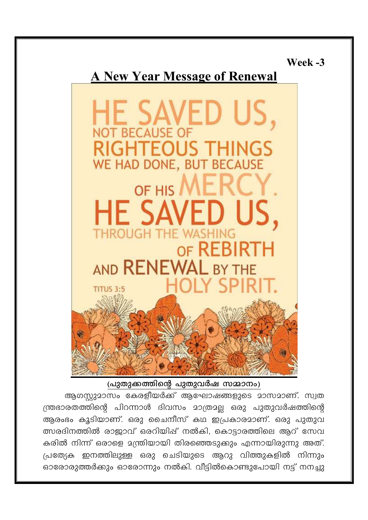## Week -3



(പുതുക്കത്തിന്റെ പുതുവർഷ സമ്മാനം)

ആഗസുദാസം കേരളീയർക്ക് ആഘോഷങ്ങളുടെ മാസമാണ്. സ്വത ന്ത്രഭാരതത്തിന്റെ പിറന്നാൾ ദിവസം മാത്രമല്ല ഒരു പുതുവർഷത്തിന്റെ ആരംഭം കൂടിയാണ്. ഒരു ചൈനീസ് കഥ ഇപ്രകാരമാണ്. ഒരു പുതുവ ത്സരദിനത്തിൽ രാജാവ് ഒരറിയിഷ് നൽകി, കൊട്ടാരത്തിലെ ആറ് സേവ കരിൽ നിന്ന് ഒരാളെ മന്ത്രിയായി തിരഞ്ഞെടുക്കും എന്നായിരുന്നു അത്. പ്രത്യേക ഇനത്തിലുള്ള ഒരു ചെടിയുടെ ആറു വിത്തുകളിൽ നിന്നും ഓരോരുത്തർക്കും ഓരോന്നും നൽകി. വീട്ടിൽകൊണ്ടുപോയി നട്ട് നനച്ചു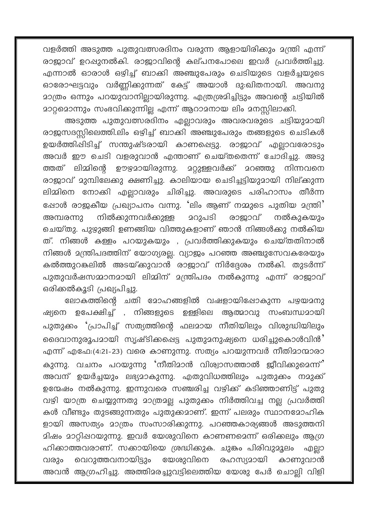വളർത്തി അടുത്ത പുതുവത്സരദിനം വരുന്ന ആളായിരിക്കും മന്ത്രി എന്ന് രാജാവ് ഉറപ്പുനൽകി. രാജാവിന്റെ കല്പനപോലെ ഇവർ പ്രവർത്തിച്ചു. എന്നാൽ ഓരാൾ ഒഴിച്ച് ബാക്കി അഞ്ചുപേരും ചെടിയുടെ വളർച്ചയുടെ ഓരോഘട്ടവും വർണ്ണിക്കുന്നത് കേട്ട് അയാൾ ദു:ഖിതനായി. അവനു **മാത്രം ഒന്നും പറയുവാനില്ലായിരുന്നു. എത്രശ്ര**മിച്ചിട്ടും അവന്റെ ചട്ടിയിൽ മാറ്റമൊന്നും സംഭവികുന്നില്ല എന്ന് ആറാമനായ ലിം മനസ്സിലാക്കി.

അടുത്ത പുതുവത്സരദിനം എല്ലാവരും അവരവരുടെ ചട്ടിയുമായി രാജസദസ്സിലെത്തി.ലിം ഒഴിച്ച് ബാക്കി അഞ്ചുപേരും തങ്ങളുടെ ചെടികൾ ഉയർത്തിപ്പിടിച്ച് സന്തുഷ്ടരായി കാണപ്പെട്ടു. രാജാവ് എല്ലാവരോടും അവർ ഈ ചെടി വളരുവാൻ എന്താണ് ചെയ്തതെന്ന് ചോദിച്ചു. അടു ത്തത് ലിമ്മിന്റെ ഊഴ്മായിരുന്നു. മറ്റുള്ളവർക്ക് മറഞ്ഞു നിന്നവനെ രാജാവ് മുമ്പിലേക്കു ക്ഷണിച്ചു. കാലിയായ ചെടിച്ചട്ടിയുമായി നില്ക്കുന്ന ലിമ്മിനെ നോക്കി എല്ലാവരും ചിരിച്ചു. അവരുടെ പരിഹാസം തീർന്ന ഷോൾ രാജകീയ പ്രഖ്യാപനം വന്നു. 'ലിം ആണ് നമ്മുടെ പുതിയ മന്ത്രി' നിൽക്കുന്നവർക്കുള്ള <u>ാ</u>റുപടി രാജാവ് നൽകുകയും അമ്പരന്നു ചെയ്തു. പുഴുങ്ങി ഉണങ്ങിയ വിത്തുകളാണ് ഞാൻ നിങ്ങൾക്കു നൽകിയ ത്. നിങ്ങൾ കള്ളം പറയുകയും , പ്രവർത്തിക്കുകയും ചെയ്തതിനാൽ നിങ്ങൾ മന്ത്രിപദത്തിന് യോഗ്യരല്ല. വ്യാജം പറഞ്ഞ അഞ്ചുസേവകരേയും കൽത്തുറങ്കലിൽ അടയ്ക്കുവാൻ രാജാവ് നിർദ്ദേശം നൽകി. തുടർന്ന് പുതുവർഷസമാനമായി ലിമ്മിന് മന്ത്രിപദം നൽകുന്നു എന്ന് രാജാവ് ഒരിക്കൽകൂടി പ്രഖ്യപിച്ചു.

ലോകത്തിന്റെ ചതി മോഹങ്ങളിൽ വഷളായിഷോകുന്ന പഴയമനു ഷ്യനെ ഉപേക്ഷിച്ച് , നിങ്ങളുടെ ഉള്ളിലെ ആത്മാവു സംബന്ധമായി പുതുക്കം 'പ്രാപിച്ച് സത്യത്തിന്റെ ഫലമായ നീതിയിലും വിശുദ്ധിയിലും ദൈവാനുരൂപമായി സൃഷ്ടിക്കഷെട്ട പുതുമനുഷ്യനെ ധരിച്ചുകൊൾവിൻ $^{\prime}$ എന്ന് എഫേ:(4:21-23) വരെ കാണുന്നു. സത്യം പറയുന്നവർ നീതിമാന്മാരാ കുന്നു. വചനം പറയുന്നു 'നീതിമാൻ വിശ്വാസത്താൽ ജീവിക്കുമെന്ന്' അവന് ഉയർച്ചയും ലഭ്യമാകുന്നു. എതുവിധത്തിലും പുതുക്കം നമുക്ക് ഉന്മേഷം നൽകുന്നു. ഇന്നുവരെ സഞ്ചരിച്ച വഴിക്ക് കടിഞ്ഞാണിട്ട് പുതു വഴി യാത്ര ചെയ്യുന്നതു മാത്രമല്ല പുതുക്കം നിർത്തിവച്ച നല്ല പ്രവർത്തി കൾ വീണ്ടും തുടങ്ങുന്നതും പുതുക്കമാണ്. ഇന്ന് പലരും സ്ഥാനമോഹിക ളായി അസത്യം മാത്രം സംസാരിക്കുന്നു. പറഞ്ഞകാര്യങ്ങൾ അടുത്തനി മിഷം മാറ്റിഷറയുന്നു. ഇവർ യേശുവിനെ കാണണമെന്ന് ഒരിക്കലും ആഗ്ര ഹിക്കാത്തവരാണ്. സക്കായിയെ ശ്രദ്ധിക്കുക. ചുകം പിരിവുമൂലം എല്ലാ വെറുത്തവനായിട്ടും യേശുവിനെ രഹസ്യമായി കാണുവാൻ വരും അവൻ ആഗ്രഹിച്ചു. അത്തിമരച്ചുവട്ടിലെത്തിയ യേശു പേർ ചൊല്ലി വിളി